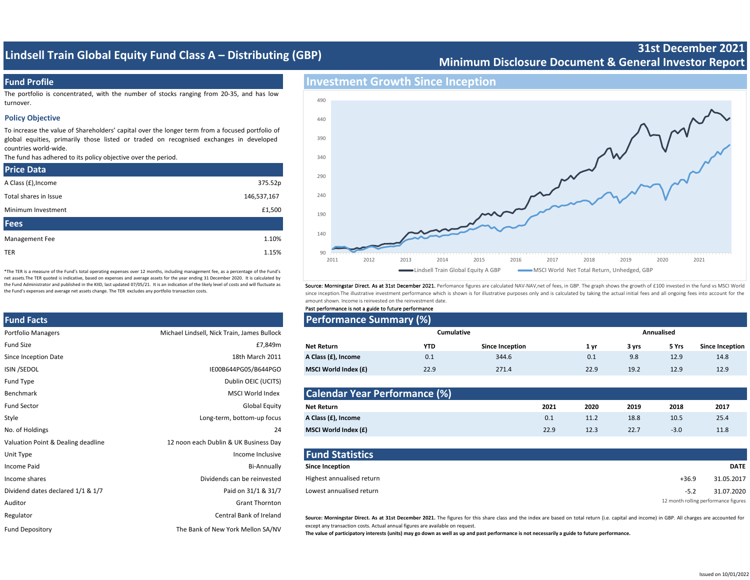## **Lindsell Train Global Equity Fund Class A – Distributing (GBP)**

## **Minimum Disclosure Document & General Investor Report**

### **Fund Profile**

The portfolio is concentrated, with the number of stocks ranging from 20-35, and has low turnover.

#### **Policy Objective**

To increase the value of Shareholders' capital over the longer term from a focused portfolio of global equities, primarily those listed or traded on recognised exchanges in developed countries world-wide.

The fund has adhered to its policy objective over the period.

| <b>Price Data</b>     |             |
|-----------------------|-------------|
| A Class (£), Income   | 375.52p     |
| Total shares in Issue | 146,537,167 |
| Minimum Investment    | £1,500      |
| <b>Fees</b>           |             |
| Management Fee        | 1.10%       |
| <b>TER</b>            | 1.15%       |

\*The TER is a measure of the Fund's total operating expenses over 12 months, including management fee, as a percentage of the Fund's net assets.The TER quoted is indicative, based on expenses and average assets for the year ending 31 December 2020. It is calculated by the Fund Administrator and published in the KIID, last updated 07/05/21. It is an indication of the likely level of costs and will fluctuate as the Fund's expenses and average net assets change. The TER excludes any portfolio transaction costs.

# **Fund Facts Performance Summary (%)** Portfolio Managers **Michael Lindsell, Nick Train, James Bullock** Portfolio Managers Fund Type **Dublin OEIC** (UCITS) Benchmark MSCI World Index Style **A CONFERGITE CONSTRUCTED EXAMPLE 2018** Long-term, bottom-up focus Valuation Point & Dealing deadline 12 noon each Dublin & UK Business Day Unit Type **Income Inclusive <b>Fund Statistics Fund Statistics** Dividend dates declared 1/1 & 1/7 Paid on 31/1 & 31/7 Auditor Grant Thornton Regulator **Central Bank of Ireland** Central Bank of Ireland Fund Depository The Bank of New York Mellon SA/NV



Source: Morningstar Direct. As at 31st December 2021. Perfomance figures are calculated NAV-NAV,net of fees, in GBP. The graph shows the growth of £100 invested in the fund vs MSCI World since inception.The illustrative investment performance which is shown is for illustrative purposes only and is calculated by taking the actual initial fees and all ongoing fees into account for the amount shown. Income is reinvested on the reinvestment date.

| Past performance is not a guide to future performance |
|-------------------------------------------------------|
|-------------------------------------------------------|

|                                             | <b>Performance Summary (%)</b> |            |                        |            |       |       |                        |
|---------------------------------------------|--------------------------------|------------|------------------------|------------|-------|-------|------------------------|
| Michael Lindsell, Nick Train, James Bullock | Cumulative                     |            |                        | Annualised |       |       |                        |
| £7,849m                                     | Net Return                     | <b>YTD</b> | <b>Since Inception</b> | 1 vı       | 3 yrs | 5 Yrs | <b>Since Inception</b> |
| 18th March 2011                             | A Class (£), Income            | 0.1        | 344.6                  | 0.1        | 9.8   | 12.9  | 14.8                   |
| IE00B644PG05/B644PGO                        | MSCI World Index (£)           | 22.9       | 271.4                  | 22.9       | 19.2  | 12.9  | 12.9                   |
|                                             |                                |            |                        |            |       |       |                        |

| Benchmark          | MSCI World Index           | <b>Calendar Year Performance (%)</b> |      |      |      |        |      |
|--------------------|----------------------------|--------------------------------------|------|------|------|--------|------|
| <b>Fund Sector</b> | <b>Global Equity</b>       | <b>Net Return</b>                    | 2021 | 2020 | 2019 | 2018   | 2017 |
| Style              | Long-term, bottom-up focus | A Class (£), Income                  | 0.1  | 11.2 | 18.8 | 10.5   | 25.4 |
| No. of Holdings    |                            | MSCI World Index (£)                 | 22.9 | 12.3 | 22.7 | $-3.0$ | 11.8 |

| Unit Type                         | Income Inclusive            | <b>Fund Statistics</b>    |                                      |
|-----------------------------------|-----------------------------|---------------------------|--------------------------------------|
| Income Paid                       | Bi-Annually                 | <b>Since Inception</b>    | <b>DATE</b>                          |
| Income shares                     | Dividends can be reinvested | Highest annualised return | 31.05.2017<br>$+36.9$                |
| Dividend dates declared 1/1 & 1/7 | Paid on 31/1 & 31/7         | Lowest annualised return  | 31.07.2020<br>-5.2                   |
| <b>Auditor</b>                    | Grant Thornton              |                           | 12 month rolling performance figures |

Source: Morningstar Direct. As at 31st December 2021. The figures for this share class and the index are based on total return (i.e. capital and income) in GBP. All charges are accounted for except any transaction costs. Actual annual figures are available on request.

**The value of participatory interests (units) may go down as well as up and past performance is not necessarily a guide to future performance.** 

**31st December 2021**